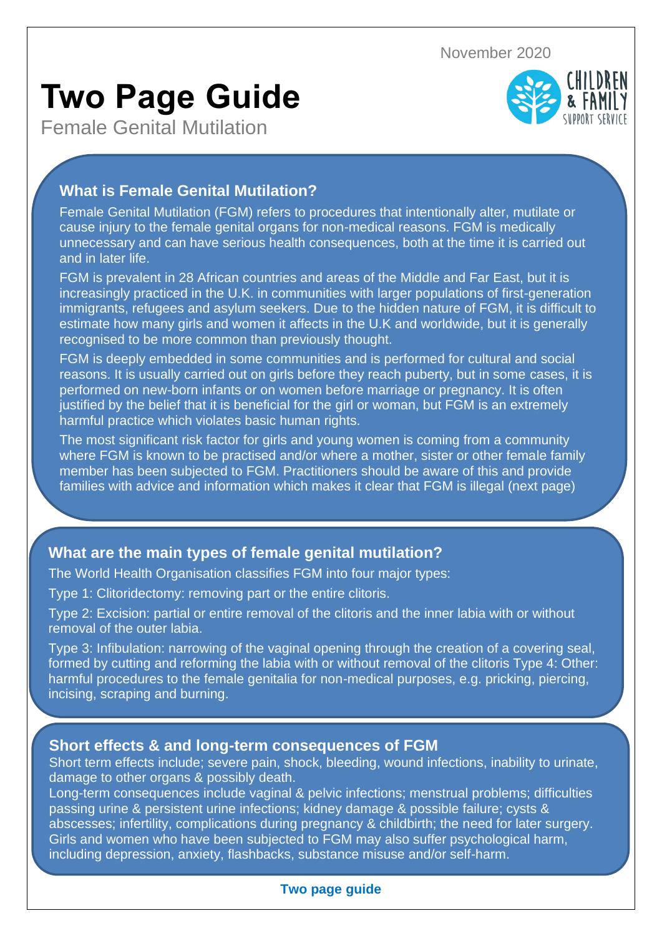November 2020

# **Two Page Guide**

Female Genital Mutilation



# **What is Female Genital Mutilation?**

Female Genital Mutilation (FGM) refers to procedures that intentionally alter, mutilate or cause injury to the female genital organs for non-medical reasons. FGM is medically unnecessary and can have serious health consequences, both at the time it is carried out and in later life.

FGM is prevalent in 28 African countries and areas of the Middle and Far East, but it is increasingly practiced in the U.K. in communities with larger populations of first-generation immigrants, refugees and asylum seekers. Due to the hidden nature of FGM, it is difficult to estimate how many girls and women it affects in the U.K and worldwide, but it is generally recognised to be more common than previously thought.

FGM is deeply embedded in some communities and is performed for cultural and social reasons. It is usually carried out on girls before they reach puberty, but in some cases, it is performed on new-born infants or on women before marriage or pregnancy. It is often justified by the belief that it is beneficial for the girl or woman, but FGM is an extremely harmful practice which violates basic human rights.

The most significant risk factor for girls and young women is coming from a community where FGM is known to be practised and/or where a mother, sister or other female family member has been subjected to FGM. Practitioners should be aware of this and provide families with advice and information which makes it clear that FGM is illegal (next page)

# **What are the main types of female genital mutilation?**

The World Health Organisation classifies FGM into four major types:

Type 1: Clitoridectomy: removing part or the entire clitoris.

Type 2: Excision: partial or entire removal of the clitoris and the inner labia with or without removal of the outer labia.

Type 3: Infibulation: narrowing of the vaginal opening through the creation of a covering seal, formed by cutting and reforming the labia with or without removal of the clitoris Type 4: Other: harmful procedures to the female genitalia for non-medical purposes, e.g. pricking, piercing, incising, scraping and burning.

## **Short effects & and long-term consequences of FGM**

Short term effects include; severe pain, shock, bleeding, wound infections, inability to urinate, damage to other organs & possibly death.

Long-term consequences include vaginal & pelvic infections; menstrual problems; difficulties passing urine & persistent urine infections; kidney damage & possible failure; cysts & abscesses; infertility, complications during pregnancy & childbirth; the need for later surgery. Girls and women who have been subjected to FGM may also suffer psychological harm, including depression, anxiety, flashbacks, substance misuse and/or self-harm.

## **Two page guide**